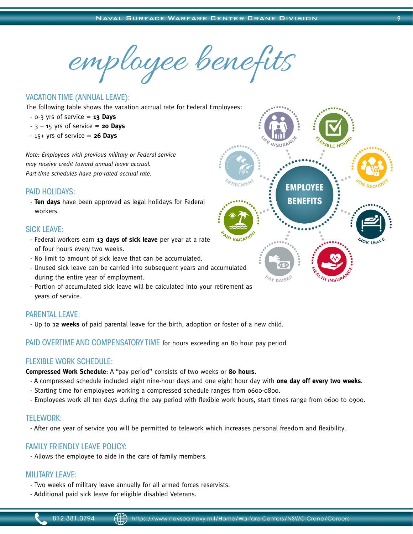employee benefits

# VACATION TIME (ANNUAL LEAVE):

The following table shows the vacation accrual rate for Federal Employees:

- 0-3 yrs of service = **13 Days**
- 3 15 yrs of service = **20 Days**
- 15+ yrs of service = **26 Days**

*Note: Employees with previous military or Federal service may receive credit toward annual leave accrual. Part-time schedules have pro-rated accrual rate.*

# PAID HOLIDAYS:

 - **Ten days** have been approved as legal holidays for Federal workers.

### SICK LEAVE:

- Federal workers earn **13 days of sick leave** per year at a rate of four hours every two weeks.
- No limit to amount of sick leave that can be accumulated.
- Unused sick leave can be carried into subsequent years and accumulated during the entire year of employment.
- Portion of accumulated sick leave will be calculated into your retirement as years of service.

## PARENTAL LEAVE:

- Up to **12 weeks** of paid parental leave for the birth, adoption or foster of a new child.

## PAID OVERTIME AND COMPENSATORY TIME for hours exceeding an 80 hour pay period*.*

## FLEXIBLE WORK SCHEDULE:

**Compressed Work Schedule**: A "pay period" consists of two weeks or **80 hours.**

- A compressed schedule included eight nine-hour days and one eight hour day with **one day off every two weeks**.
- Starting time for employees working a compressed schedule ranges from 0600-0800.
- Employees work all ten days during the pay period with flexible work hours, start times range from 0600 to 0900.

#### TELEWORK:

- After one year of service you will be permitted to telework which increases personal freedom and flexibility.

# FAMILY FRIENDLY LEAVE POLICY:

 *-* Allows the employee to aide in the care of family members*.*

## MILITARY LEAVE:

- Two weeks of military leave annually for all armed forces reservists.
- Additional paid sick leave for eligible disabled Veterans.